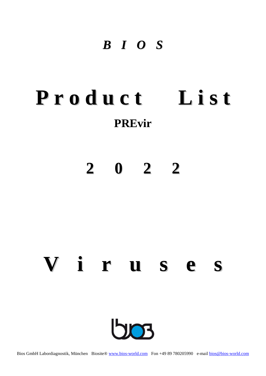### *B I O S*

## **P r o d u c t L i s t PREvir**

## **2 0 2 2**

# **V i r u s e s23**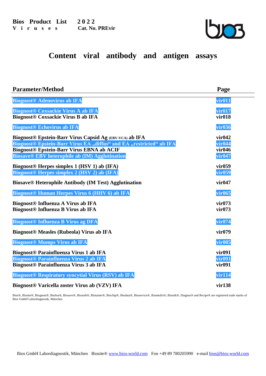

#### **Content viral antibody and antigen assays**

| <b>Parameter/Method</b>                                             | Page               |
|---------------------------------------------------------------------|--------------------|
| <b>Biognost® Adenovirus ab IFA</b>                                  | vir011             |
| <b>Biognost® Coxsackie Virus A ab IFA</b>                           | vir017             |
| <b>Biognost® Coxsackie Virus B ab IFA</b>                           | vir018             |
| <b>Biognost® Echovirus ab IFA</b>                                   | <b>vir036</b>      |
| Biognost® Epstein-Barr Virus Capsid Ag (EBV-VCA) ab IFA             | vir042             |
| Biognost® Epstein-Barr Virus EA "diffus" and EA "restricted" ab IFA | vir <sub>044</sub> |
| <b>Biognost® Epstein-Barr Virus EBNA ab ACIF</b>                    | vir046             |
| <b>Biosave® EBV heterophile ab (IM) Agglutination</b>               | vir047             |
| Biognost® Herpes simplex 1 (HSV 1) ab (IFA)                         | vir059             |
| <b>Biognost® Herpes simplex 2 (HSV 2) ab (IFA)</b>                  | vir059             |
| <b>Biosave® Heterophile Antibody (IM Test) Agglutination</b>        | vir047             |
| <b>Biognost® Human Herpes Virus 6 (HHV 6) ab IFA</b>                | vir065             |
| <b>Biognost® Influenza A Virus ab IFA</b>                           | vir073             |
| <b>Biognost<sup>®</sup></b> Influenza B Virus ab IFA                | vir073             |
| <b>Biognost® Influenza B Virus ag DFA</b>                           | vir074             |
| <b>Biognost® Measles (Rubeola) Virus ab IFA</b>                     | vir079             |
| <b>Biognost® Mumps Virus ab IFA</b>                                 | vir085             |
| <b>Biognost® Parainfluenza Virus 1 ab IFA</b>                       | vir091             |
| <b>Biognost® Parainfluenza Virus 2 ab IFA</b>                       | <b>vir091</b>      |
| Biognost® Parainfluenza Virus 3 ab IFA                              | vir091             |
| <b>Biognost® Respiratory syncytial Virus (RSV) ab IFA</b>           | vir114             |
| Biognost® Varicella zoster Virus ab (VZV) IFA                       | vir138             |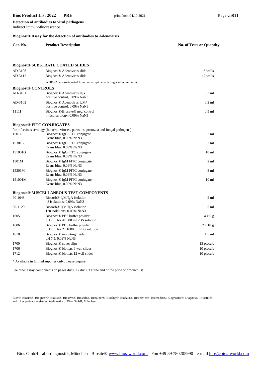Indirect Immunofluorescence

**Detection of antibodies to viral pathogens**

#### **Biognost® Assay for the detection of antibodies to Adenovirus**

| Cat. No. | <b>Product Description</b>                          | <b>No. of Tests or Quantity</b> |
|----------|-----------------------------------------------------|---------------------------------|
|          |                                                     |                                 |
|          | <b>Biognost<sup>®</sup> SUBSTRATE COATED SLIDES</b> |                                 |

| AD-3106                   | Biognost <sup>®</sup> Adenovirus slide                                                                                                                      | 6 wells          |
|---------------------------|-------------------------------------------------------------------------------------------------------------------------------------------------------------|------------------|
| AD-3112                   | Biognost <sup>®</sup> Adenovirus slide                                                                                                                      | 12 wells         |
|                           | in HEp-2 cells (originated from human epithelial laring ocarcinoma cells)                                                                                   |                  |
| <b>Biognost® CONTROLS</b> |                                                                                                                                                             |                  |
| AD-3101                   | Biognost <sup>®</sup> Adenovirus IgG<br>positive control, 0.09% NaN3                                                                                        | $0,3$ ml         |
| AD-3102                   | Biognost <sup>®</sup> Adenovirus IgM*<br>positive control, 0.09% NaN3                                                                                       | $0,2$ ml         |
| 1111I                     | Biognost®/Biosave® neg. control<br>infect. serology, 0.09% NaN3                                                                                             | $0,5$ ml         |
|                           | <b>Biognost® FITC CONJUGATES</b>                                                                                                                            |                  |
| 1501G                     | for infectious serology (bacteria, viruses, parasites, protozoa and fungal pathogens)<br>Biognost <sup>®</sup> IgG FITC conjugate<br>Evans blue, 0.09% NaN3 | $2 \text{ ml}$   |
| 15301G                    | Biognost <sup>®</sup> IgG FITC conjugate<br>Evans blue, 0.09% NaN3                                                                                          | 3 ml             |
| 151001G                   | Biognost <sup>®</sup> IgG FITC conjugate<br>Evans blue, 0.09% NaN3                                                                                          | 10 <sub>ml</sub> |
| 1501M                     | Biognost <sup>®</sup> IgM FITC conjugate<br>Evans blue, 0.09% NaN3                                                                                          | 2 <sub>ml</sub>  |
| 15301M                    | Biognost <sup>®</sup> IgM FITC conjugate<br>Evans blue, 0.09% NaN3                                                                                          | 3 ml             |
| 151001M                   | Biognost <sup>®</sup> IgM FITC conjugate<br>Evans blue, 0.09% NaN3                                                                                          | 10 <sub>ml</sub> |
|                           | <b>Biognost® MISCELLANEOUS TEST COMPONENTS</b>                                                                                                              |                  |
| 90-1048                   | Biosorb <sup>®</sup> IgM/IgA isolation<br>48 isolations, 0.09% NaN3                                                                                         | 2 <sub>ml</sub>  |
| 90-1120                   | Biosorb <sup>®</sup> IgM/IgA isolation<br>120 isolations, 0.09% NaN3                                                                                        | 5 ml             |
| 1605                      | Biognost <sup>®</sup> PBS buffer powder<br>pH 7.5, for 4x 500 ml PBS solution                                                                               | $4 \times 5$ g   |
| 1606                      | Biognost® PBS buffer powder<br>$pH$ 7.5, for 2x 1000 ml PBS solution                                                                                        | $2 \times 10$ g  |
| 1610                      | Biognost <sup>®</sup> mounting medium<br>pH 7.5, 0.09% NaN3                                                                                                 | $1.5$ ml         |
| 1700                      | Biognost <sup>®</sup> cover slips                                                                                                                           | 15 piece/s       |
| 1706                      | Biognost <sup>®</sup> blotters 6 well slides                                                                                                                | 10 piece/s       |
| 1712                      | Biognost <sup>®</sup> blotters 12 well slides                                                                                                               | 10 piece/s       |
|                           |                                                                                                                                                             |                  |

\* Available in limited supplies only; please inquire.

See other assay components on pages div001 - div003 at the end of the price or product list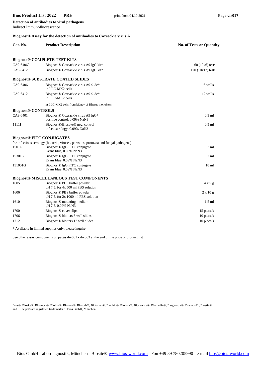Indirect Immunofluorescence

**Detection of antibodies to viral pathogens**

#### **Biognost® Assay for the detection of antibodies to Coxsackie virus A**

| Cat. No.                  | <b>Product Description</b>                                                            | <b>No. of Tests or Quantity</b> |
|---------------------------|---------------------------------------------------------------------------------------|---------------------------------|
|                           |                                                                                       |                                 |
|                           | <b>Biognost® COMPLETE TEST KITS</b>                                                   |                                 |
| CA9-64060                 | Biognost® Coxsackie virus A9 IgG kit*                                                 | $60(10x6)$ tests                |
| CA9-64120                 | Biognost® Coxsackie virus A9 IgG kit*                                                 | $120(10x12)$ tests              |
|                           | <b>Biognost® SUBSTRATE COATED SLIDES</b>                                              |                                 |
| CA9-6406                  | Biognost® Coxsackie virus A9 slide*<br>in LLC-MK2 cells                               | 6 wells                         |
| CA9-6412                  | Biognost® Coxsackie virus A9 slide*<br>in LLC-MK2 cells                               | 12 wells                        |
|                           | in LLC-MK2 cells from kidney of Rhesus monokeys                                       |                                 |
| <b>Biognost® CONTROLS</b> |                                                                                       |                                 |
| CA9-6401                  | Biognost <sup>®</sup> Coxsackie virus A9 IgG*<br>positive control, 0.09% NaN3         | $0.3$ ml                        |
| 1111I                     | Biognost®/Biosave® neg. control<br>infect. serology, 0.09% NaN3                       | $0.5$ ml                        |
|                           | <b>Biognost® FITC CONJUGATES</b>                                                      |                                 |
|                           | for infectious serology (bacteria, viruses, parasites, protozoa and fungal pathogens) |                                 |
| 1501G                     | Biognost® IgG FITC conjugate<br>Evans blue, 0.09% NaN3                                | $2 \text{ ml}$                  |
| 15301G                    | Biognost <sup>®</sup> IgG FITC conjugate<br>Evans blue, 0.09% NaN3                    | $3 \text{ ml}$                  |
| 151001G                   | Biognost <sup>®</sup> IgG FITC conjugate<br>Evans blue, 0.09% NaN3                    | 10 <sub>ml</sub>                |
|                           | <b>Biognost® MISCELLANEOUS TEST COMPONENTS</b>                                        |                                 |
| 1605                      | Biognost® PBS buffer powder<br>pH 7.5, for 4x 500 ml PBS solution                     | $4 \times 5$ g                  |
| 1606                      | Biognost <sup>®</sup> PBS buffer powder<br>$pH$ 7.5, for 2x 1000 ml PBS solution      | $2 \times 10 g$                 |
| 1610                      | Biognost <sup>®</sup> mounting medium<br>pH 7.5, 0.09% NaN3                           | $1.5$ ml                        |
| 1700                      | Biognost <sup>®</sup> cover slips                                                     | 15 piece/s                      |
| 1706                      | Biognost <sup>®</sup> blotters 6 well slides                                          | 10 piece/s                      |
| 1712                      | Biognost <sup>®</sup> blotters 12 well slides                                         | 10 piece/s                      |

\* Available in limited supplies only; please inquire.

See other assay components on pages div001 - div003 at the end of the price or product list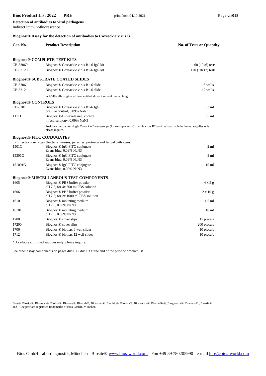**Detection of antibodies to viral pathogens**

#### Indirect Immunofluorescence **Biognost® Assay for the detection of antibodies to Coxsackie virus B**

|                           | Biognost® Assay for the detection of antibodies to Coxsackie virus B                                                                                    |                                 |
|---------------------------|---------------------------------------------------------------------------------------------------------------------------------------------------------|---------------------------------|
| Cat. No.                  | <b>Product Description</b>                                                                                                                              | <b>No. of Tests or Quantity</b> |
|                           | <b>Biognost® COMPLETE TEST KITS</b>                                                                                                                     |                                 |
| CB-33060                  | Biognost <sup>®</sup> Coxsackie virus B1-6 IgG kit                                                                                                      | $60(10x6)$ tests                |
| CB-33120                  | Biognost <sup>®</sup> Coxsackie virus B1-6 IgG kit                                                                                                      | $120(10x12)$ tests              |
|                           | <b>Biognost® SUBSTRATE COATED SLIDES</b>                                                                                                                |                                 |
| CB-3306                   | Biognost <sup>®</sup> Coxsackie virus B1-6 slide                                                                                                        | 6 wells                         |
| CB-3312                   | Biognost <sup>®</sup> Coxsackie virus B1-6 slide                                                                                                        | 12 wells                        |
|                           | in A549 cells originated from epithelial carcinoma of human lung                                                                                        |                                 |
| <b>Biognost® CONTROLS</b> |                                                                                                                                                         |                                 |
| CB-3301                   | Biognost <sup>®</sup> Coxsackie virus B1-6 IgG<br>positive control, 0.09% NaN3                                                                          | $0.3$ ml                        |
| 1111I                     | Biognost®/Biosave® neg. control<br>infect. serology, 0.09% NaN3                                                                                         | $0.5$ ml                        |
|                           | Positive controls for single Coxackie B serogroups (for example anti-Coxackie virus B2 positive) available in limited supplies only;<br>please inquire. |                                 |
|                           | <b>Biognost® FITC CONJUGATES</b>                                                                                                                        |                                 |
|                           | for infectious serology (bacteria, viruses, parasites, protozoa and fungal pathogens)                                                                   |                                 |
| 1501G                     | Biognost <sup>®</sup> IgG FITC conjugate<br>Evans blue, 0.09% NaN3                                                                                      | $2 \text{ ml}$                  |
| 15301G                    | Biognost <sup>®</sup> IgG FITC conjugate<br>Evans blue, 0.09% NaN3                                                                                      | $3 \text{ ml}$                  |
| 151001G                   | Biognost <sup>®</sup> IgG FITC conjugate<br>Evans blue, 0.09% NaN3                                                                                      | 10 <sub>ml</sub>                |
|                           | <b>Biognost® MISCELLANEOUS TEST COMPONENTS</b>                                                                                                          |                                 |
| 1605                      | Biognost <sup>®</sup> PBS buffer powder<br>pH 7.5, for 4x 500 ml PBS solution                                                                           | 4 x 5 g                         |
| 1606                      | Biognost <sup>®</sup> PBS buffer powder<br>$pH$ 7.5, for 2x 1000 ml PBS solution                                                                        | $2 \times 10 g$                 |
| 1610                      | Biognost <sup>®</sup> mounting medium<br>pH 7.5, 0.09% NaN3                                                                                             | $1,5$ ml                        |
| 161010                    | Biognost <sup>®</sup> mounting medium<br>pH 7.5, 0.09% NaN3                                                                                             | 10 <sub>ml</sub>                |
| 1700                      | Biognost <sup>®</sup> cover slips                                                                                                                       | 15 piece/s                      |
| 17200                     | Biognost <sup>®</sup> cover slips                                                                                                                       | 200 piece/s                     |
| 1706                      | Biognost <sup>®</sup> blotters 6 well slides                                                                                                            | 10 piece/s                      |
| 1712                      | Biognost <sup>®</sup> blotters 12 well slides                                                                                                           | 10 piece/s                      |
|                           | * Available at limited supplies only; please inquire.                                                                                                   |                                 |

See other assay components on pages div001 - div003 at the end of the price or product list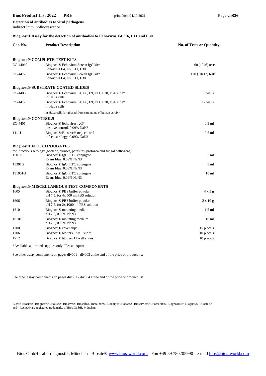Indirect Immunofluorescence

**Detection of antibodies to viral pathogens**

#### **Biognost® Assay for the detection of antibodies to Echovirus E4, E6, E11 and E30**

| Cat. No.                         | <b>Product Description</b>                                                               | <b>No. of Tests or Quantity</b> |
|----------------------------------|------------------------------------------------------------------------------------------|---------------------------------|
|                                  | <b>Biognost® COMPLETE TEST KITS</b>                                                      |                                 |
| EC-44060                         | Biognost <sup>®</sup> Echovirus Screen IgG kit*<br>Echovirus E4, E6, E11, E30            | $60(10x6)$ tests                |
| EC-44120                         | Biognost® Echovirus Screen IgG kit*<br>Echovirus E4, E6, E11, E30                        | $120(10x12)$ tests              |
|                                  | <b>Biognost® SUBSTRATE COATED SLIDES</b>                                                 |                                 |
| EC-4406                          | Biognost <sup>®</sup> Echovirus E4, E6, E9, E11, E30, E34 slide*<br>in HeLa cells        | 6 wells                         |
| EC-4412                          | Biognost® Echovirus E4, E6, E9, E11, E30, E34 slide*<br>in HeLa cells                    | 12 wells                        |
|                                  | in HeLa cells (originated from carcinoma of human cervix)                                |                                 |
| <b>Biognost® CONTROLS</b>        |                                                                                          |                                 |
| EC-4401                          | Biognost <sup>®</sup> Echovirus IgG*<br>positive control, 0.09% NaN3                     | $0.3$ ml                        |
| 1111I                            | Biognost <sup>®</sup> /Biosave <sup>®</sup> neg. control<br>infect. serology, 0.09% NaN3 | $0.5$ ml                        |
| <b>Biognost® FITC CONJUGATES</b> |                                                                                          |                                 |
|                                  | for infectious serology (bacteria, viruses, parasites, protozoa and fungal pathogens)    |                                 |
| 1501G                            | Biognost® IgG FITC conjugate<br>Evans blue, 0.09% NaN3                                   | $2 \text{ ml}$                  |
| 15301G                           | Biognost <sup>®</sup> IgG FITC conjugate<br>Evans blue, 0.09% NaN3                       | 3 ml                            |
| 151001G                          | Biognost <sup>®</sup> IgG FITC conjugate<br>Evans blue, 0.09% NaN3                       | 10 <sub>m1</sub>                |
|                                  | <b>Biognost® MISCELLANEOUS TEST COMPONENTS</b>                                           |                                 |
| 1605                             | Biognost <sup>®</sup> PBS buffer powder<br>pH 7.5, for 4x 500 ml PBS solution            | $4 \times 5 g$                  |
| 1606                             | Biognost <sup>®</sup> PBS buffer powder<br>$pH$ 7.5, for 2x 1000 ml PBS solution         | $2 \times 10$ g                 |
| 1610                             | Biognost <sup>®</sup> mounting medium<br>pH 7.5, 0.09% NaN3                              | $1,5$ ml                        |
| 161010                           | Biognost <sup>®</sup> mounting medium<br>pH 7.5, 0.09% NaN3                              | 10 <sub>m1</sub>                |
| 1700                             | Biognost <sup>®</sup> cover slips                                                        | 15 piece/s                      |
| 1706                             | Biognost® blotters 6 well slides                                                         | 10 piece/s                      |
| 1712                             | Biognost <sup>®</sup> blotters 12 well slides                                            | 10 piece/s                      |

\*Available at limited supplies only. Please inquire.

See other assay components on pages div001 - div003 at the end of the price or product list

See other assay components on pages div001 - div004 at the end of the price or product list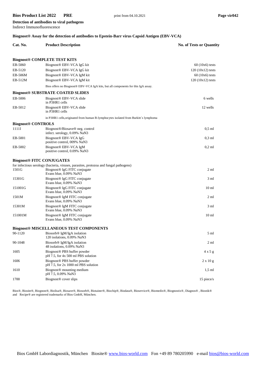Indirect Immunofluorescence

**Detection of antibodies to viral pathogens**

#### **Biognost® Assay for the detection of antibodies to Epstein-Barr virus Capsid Antigen (EBV-VCA)**

| Cat. No.                         | <b>Product Description</b>                                                               | <b>No. of Tests or Quantity</b> |
|----------------------------------|------------------------------------------------------------------------------------------|---------------------------------|
|                                  | <b>Biognost® COMPLETE TEST KITS</b>                                                      |                                 |
| EB-5060                          | Biognost® EBV-VCA IgG kit                                                                | $60(10x6)$ tests                |
| EB-5120                          | Biognost <sup>®</sup> EBV-VCA IgG kit                                                    | $120(10x12)$ tests              |
| EB-506M                          | Biognost <sup>®</sup> EBV-VCA IgM kit                                                    | $60(10x6)$ tests                |
| EB-512M                          | Biognost <sup>®</sup> EBV-VCA IgM kit                                                    | 120 (10x12) tests               |
|                                  | Bios offers no Biognost® EBV-VCA IgA kits, but all components for this IgA assay.        |                                 |
|                                  | <b>Biognost® SUBSTRATE COATED SLIDES</b>                                                 |                                 |
| EB-5006                          | Biognost <sup>®</sup> EBV-VCA slide<br>in P3HR1 cells                                    | 6 wells                         |
| EB-5012                          | Biognost <sup>®</sup> EBV-VCA slide<br>in P3HR1 cells                                    | 12 wells                        |
|                                  | in P3HR1 cells, originated from human B-lymphocytes isolated from Burkitt's lymphoma     |                                 |
| <b>Biognost® CONTROLS</b>        |                                                                                          |                                 |
| 1111I                            | Biognost <sup>®</sup> /Biosave <sup>®</sup> neg. control<br>infect. serology, 0.09% NaN3 | $0.5$ ml                        |
| EB-5001                          | Biognost <sup>®</sup> EBV-VCA IgG<br>positive control, 009% NaN3                         | $0,3$ ml                        |
| EB-5002                          | Biognost <sup>®</sup> EBV-VCA IgM<br>positive control, 0.09% NaN3                        | $0,2$ ml                        |
| <b>Biognost® FITC CONJUGATES</b> |                                                                                          |                                 |
|                                  | for infectious serology (bacteria, viruses, parasites, protozoa and fungal pathogens)    |                                 |
| 1501G                            | Biognost® IgG FITC conjugate<br>Evans blue, 0.09% NaN3                                   | 2 ml                            |
| 15301G                           | Biognost <sup>®</sup> IgG FITC conjugate<br>Evans blue, 0.09% NaN3                       | 3 ml                            |
| 151001G                          | Biognost <sup>®</sup> IgG FITC conjugate<br>Evans blue, 0.09% NaN3                       | 10 <sub>ml</sub>                |
| 1501M                            | Biognost <sup>®</sup> IgM FITC conjugate<br>Evans blue, 0.09% NaN3                       | 2 <sub>ml</sub>                 |
| 15301M                           | Biognost <sup>®</sup> IgM FITC conjugate<br>Evans blue, 0.09% NaN3                       | 3 ml                            |
| 151001M                          | Biognost <sup>®</sup> IgM FITC conjugate<br>Evans blue, 0.09% NaN3                       | 10 <sub>ml</sub>                |
|                                  | <b>Biognost® MISCELLANEOUS TEST COMPONENTS</b>                                           |                                 |
| 90-1120                          | Biosorb <sup>®</sup> IgM/IgA isolation<br>120 isolations, 0.09% NaN3                     | 5 ml                            |
| 90-1048                          | Biosorb® IgM/IgA isolation<br>48 isolations, 0.09% NaN3                                  | 2 ml                            |
| 1605                             | Biognost <sup>®</sup> PBS buffer powder<br>pH 7.5, for 4x 500 ml PBS solution            | $4 \times 5$ g                  |
| 1606                             | Biognost <sup>®</sup> PBS buffer powder<br>pH 7.5, for 2x 1000 ml PBS solution           | $2 \times 10$ g                 |
| 1610                             | Biognost <sup>®</sup> mounting medium<br>pH 7.5, 0.09% NaN3                              | $1,5$ ml                        |
| 1700                             | Biognost <sup>®</sup> cover slips                                                        | 15 piece/s                      |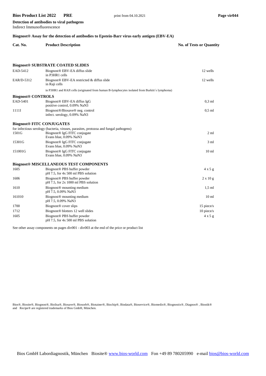**Detection of antibodies to viral pathogens**

| Indirect Immunofluorescence                                                                              |                                                                                                                                                             |                                 |  |
|----------------------------------------------------------------------------------------------------------|-------------------------------------------------------------------------------------------------------------------------------------------------------------|---------------------------------|--|
| Biognost <sup>®</sup> Assay for the detection of antibodies to Epstein-Barr virus early antigen (EBV-EA) |                                                                                                                                                             |                                 |  |
| Cat. No.                                                                                                 | <b>Product Description</b>                                                                                                                                  | <b>No. of Tests or Quantity</b> |  |
|                                                                                                          | <b>Biognost® SUBSTRATE COATED SLIDES</b>                                                                                                                    |                                 |  |
| EAD-5412                                                                                                 | Biognost® EBV-EA diffus slide<br>in P3HR1 cells                                                                                                             | 12 wells                        |  |
| EAR/D-5312                                                                                               | Biognost <sup>®</sup> EBV-EA restricted & diffus slide<br>in Raji cells                                                                                     | 12 wells                        |  |
|                                                                                                          | in P3HR1 and RAJI cells (originated from human B-lymphocytes isolated from Burkitt's lymphoma)                                                              |                                 |  |
| <b>Biognost® CONTROLS</b>                                                                                |                                                                                                                                                             |                                 |  |
| EAD-5401                                                                                                 | Biognost® EBV-EA diffus IgG<br>positive control, 0.09% NaN3                                                                                                 | $0.3$ ml                        |  |
| 1111I                                                                                                    | Biognost <sup>®</sup> /Biosave <sup>®</sup> neg. control<br>infect. serology, 0.09% NaN3                                                                    | $0.5$ ml                        |  |
| <b>Biognost® FITC CONJUGATES</b>                                                                         |                                                                                                                                                             |                                 |  |
| 1501G                                                                                                    | for infectious serology (bacteria, viruses, parasites, protozoa and fungal pathogens)<br>Biognost <sup>®</sup> IgG FITC conjugate<br>Evans blue, 0.09% NaN3 | $2 \text{ ml}$                  |  |
| 15301G                                                                                                   | Biognost <sup>®</sup> IgG FITC conjugate<br>Evans blue, 0.09% NaN3                                                                                          | $3 \text{ ml}$                  |  |
| 151001G                                                                                                  | Biognost <sup>®</sup> IgG FITC conjugate<br>Evans blue, 0.09% NaN3                                                                                          | 10 <sub>ml</sub>                |  |
|                                                                                                          | <b>Biognost® MISCELLANEOUS TEST COMPONENTS</b>                                                                                                              |                                 |  |
| 1605                                                                                                     | Biognost® PBS buffer powder<br>pH 7.5, for 4x 500 ml PBS solution                                                                                           | $4 \times 5$ g                  |  |
| 1606                                                                                                     | Biognost <sup>®</sup> PBS buffer powder<br>$pH$ 7.5, for 2x 1000 ml PBS solution                                                                            | $2 \times 10$ g                 |  |
| 1610                                                                                                     | Biognost <sup>®</sup> mounting medium<br>pH 7.5, 0.09% NaN3                                                                                                 | $1.5$ ml                        |  |
| 161010                                                                                                   | Biognost <sup>®</sup> mounting medium<br>pH 7.5, 0.09% NaN3                                                                                                 | 10 <sub>ml</sub>                |  |
| 1700                                                                                                     | Biognost <sup>®</sup> cover slips                                                                                                                           | 15 piece/s                      |  |
| 1712                                                                                                     | Biognost <sup>®</sup> blotters 12 well slides                                                                                                               | $10$ piece/s                    |  |
| 1605                                                                                                     | Biognost <sup>®</sup> PBS buffer powder<br>pH 7.5, for 4x 500 ml PBS solution                                                                               | 4x5g                            |  |

See other assay components on pages div001 - div003 at the end of the price or product list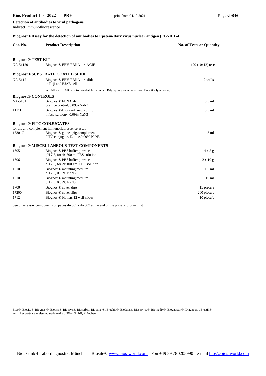Indirect Immunofluorescence

**Detection of antibodies to viral pathogens**

#### **Biognost® Assay for the detection of antibodies to Epstein-Barr virus nuclear antigen (EBNA 1-4)**

| Cat. No.                  | <b>Product Description</b>                                                                    | <b>No. of Tests or Quantity</b> |
|---------------------------|-----------------------------------------------------------------------------------------------|---------------------------------|
| <b>Biognost® TEST KIT</b> |                                                                                               |                                 |
| NA-51120                  | Biognost® EBV-EBNA 1-4 ACIF kit                                                               | $120(10x12)$ tests              |
|                           | <b>Biognost<sup>®</sup> SUBSTRATE COATED SLIDE</b>                                            |                                 |
| NA-5112                   | Biognost <sup>®</sup> EBV-EBNA 1-4 slide<br>in Raji and BJAB cells                            | 12 wells                        |
|                           | in RAJI and BJAB cells (originated from human B-lymphocytes isolated from Burkitt's lymphoma) |                                 |
| <b>Biognost® CONTROLS</b> |                                                                                               |                                 |
| NA-5101                   | Biognost <sup>®</sup> EBNA ab<br>positive control, 0.09% NaN3                                 | $0.3$ ml                        |
| 1111I                     | Biognost®/Biosave® neg. control<br>infect. serology, 0.09% NaN3                               | $0.5$ ml                        |
|                           | <b>Biognost® FITC CONJUGATES</b>                                                              |                                 |
|                           | for the anti complement immunofluorescence assay                                              |                                 |
| 15301C                    | Biognost <sup>®</sup> guinea pig.complement<br>FITC conjugate, E. blue, 0.09% NaN3            | 3 <sub>m1</sub>                 |
|                           | <b>Biognost® MISCELLANEOUS TEST COMPONENTS</b>                                                |                                 |
| 1605                      | Biognost® PBS buffer powder<br>pH 7.5, for 4x 500 ml PBS solution                             | 4x5g                            |
| 1606                      | Biognost® PBS buffer powder<br>$pH$ 7.5, for 2x 1000 ml PBS solution                          | $2 \times 10 g$                 |
| 1610                      | Biognost <sup>®</sup> mounting medium<br>pH 7.5, 0.09% NaN3                                   | $1.5$ ml                        |
| 161010                    | Biognost <sup>®</sup> mounting medium<br>pH 7.5, 0.09% NaN3                                   | 10 <sub>ml</sub>                |
| 1700                      | Biognost <sup>®</sup> cover slips                                                             | 15 piece/s                      |
| 17200                     | Biognost <sup>®</sup> cover slips                                                             | $200$ piece/s                   |
| 1712                      | Biognost <sup>®</sup> blotters 12 well slides                                                 | 10 piece/s                      |

See other assay components on pages div001 - div003 at the end of the price or product list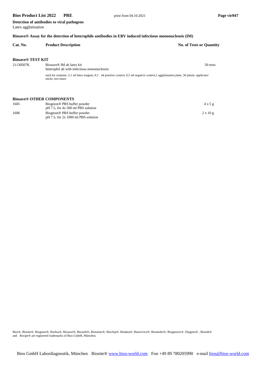**Detection of antibodies to viral pathogens** Latex agglutination

| Cat. No.                 | <b>Product Description</b>                                              | <b>No. of Tests or Quantity</b>                                                                                                         |
|--------------------------|-------------------------------------------------------------------------|-----------------------------------------------------------------------------------------------------------------------------------------|
|                          |                                                                         |                                                                                                                                         |
| <b>Biosave® TEST KIT</b> |                                                                         |                                                                                                                                         |
| 21130507K                | Biosaye® IM ab latex kit<br>heterophil ab with infectious mononucleosis | 50 tests                                                                                                                                |
|                          | sticks, test insert                                                     | each kit contains: 2,1 ml latex reagent, 0,5 ml positive control, 0,5 ml negative control, 1 agglutination plate, 50 plastic applicator |
|                          |                                                                         |                                                                                                                                         |

#### **Biosave® OTHER COMPONENTS**

| 1605 | Biognost <sup>®</sup> PBS buffer powder<br>$pH$ 7.5, for 4x 500 ml PBS solution  | 4x5g            |
|------|----------------------------------------------------------------------------------|-----------------|
| 1606 | Biognost <sup>®</sup> PBS buffer powder<br>$pH$ 7.5, for 2x 1000 ml PBS solution | $2 \times 10 g$ |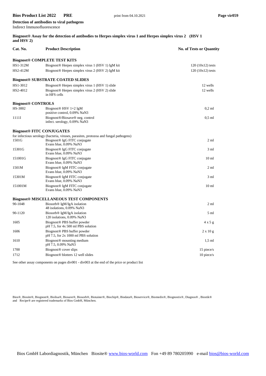| Detection of antibodies to viral pathogens |  |
|--------------------------------------------|--|
| Indirect Immunofluorescence                |  |

| Biognost <sup>®</sup> Assay for the detection of antibodies to Herpes simplex virus 1 and Herpes simplex virus 2 (HSV 1) |  |
|--------------------------------------------------------------------------------------------------------------------------|--|
| and $HSV 2$ )                                                                                                            |  |

| Cat. No.                         | <b>Product Description</b>                                                            | <b>No. of Tests or Quantity</b> |
|----------------------------------|---------------------------------------------------------------------------------------|---------------------------------|
|                                  | <b>Biognost® COMPLETE TEST KITS</b>                                                   |                                 |
| HS1-312M                         | Biognost <sup>®</sup> Herpes simplex virus 1 (HSV 1) IgM kit                          | $120(10x12)$ tests              |
| HS2-412M                         | Biognost <sup>®</sup> Herpes simplex virus 2 (HSV 2) IgM kit                          | $120(10x12)$ tests              |
|                                  | <b>Biognost® SUBSTRATE COATED SLIDES</b>                                              |                                 |
| HS1-3012                         | Biognost <sup>®</sup> Herpes simplex virus 1 (HSV 1) slide                            | 12 wells                        |
| HS2-4012                         | Biognost <sup>®</sup> Herpes simplex virus 2 (HSV 2) slide<br>in HFS cells            | 12 wells                        |
| <b>Biognost® CONTROLS</b>        |                                                                                       |                                 |
| HS-3002                          | Biognost <sup>®</sup> HSV 1+2 IgM                                                     | $0,2$ ml                        |
|                                  | positive control, 0.09% NaN3                                                          |                                 |
| 1111I                            | Biognost®/Biosave® neg. control<br>infect. serology, 0.09% NaN3                       | $0,5$ ml                        |
| <b>Biognost® FITC CONJUGATES</b> |                                                                                       |                                 |
|                                  | for infectious serology (bacteria, viruses, parasites, protozoa and fungal pathogens) |                                 |
| 1501G                            | Biognost <sup>®</sup> IgG FITC conjugate<br>Evans blue, 0.09% NaN3                    | $2 \text{ ml}$                  |
| 15301G                           | Biognost <sup>®</sup> IgG FITC conjugate<br>Evans blue, 0.09% NaN3                    | 3 <sub>ml</sub>                 |
| 151001G                          | Biognost <sup>®</sup> IgG FITC conjugate<br>Evans blue, 0.09% NaN3                    | 10 <sub>ml</sub>                |
| 1501M                            | Biognost <sup>®</sup> IgM FITC conjugate<br>Evans blue, 0.09% NaN3                    | 2 <sub>ml</sub>                 |
| 15301M                           | Biognost <sup>®</sup> IgM FITC conjugate<br>Evans blue, 0.09% NaN3                    | $3 \text{ ml}$                  |
| 151001M                          | Biognost <sup>®</sup> IgM FITC conjugate<br>Evans blue, 0.09% NaN3                    | 10 <sub>ml</sub>                |
|                                  | <b>Biognost® MISCELLANEOUS TEST COMPONENTS</b>                                        |                                 |
| 90-1048                          | Biosorb <sup>®</sup> IgM/IgA isolation<br>48 isolations, 0.09% NaN3                   | $2 \text{ ml}$                  |
| 90-1120                          | Biosorb <sup>®</sup> IgM/IgA isolation<br>120 isolations, 0.09% NaN3                  | $5 \text{ ml}$                  |
| 1605                             | Biognost <sup>®</sup> PBS buffer powder<br>pH 7.5, for 4x 500 ml PBS solution         | $4 \times 5$ g                  |
| 1606                             | Biognost <sup>®</sup> PBS buffer powder<br>$pH$ 7.5, for 2x 1000 ml PBS solution      | $2 \times 10$ g                 |
| 1610                             | Biognost <sup>®</sup> mounting medium<br>pH 7.5, 0.09% NaN3                           | $1,5$ ml                        |
| 1700                             | Biognost <sup>®</sup> cover slips                                                     | 15 piece/s                      |
| 1712                             | Biognost <sup>®</sup> blotters 12 well slides                                         | 10 piece/s                      |

See other assay components on pages div001 - div003 at the end of the price or product list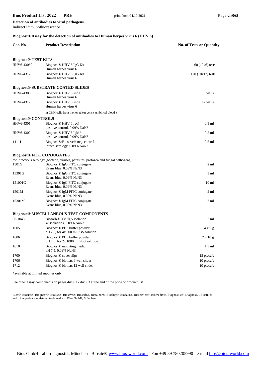Indirect Immunofluorescence

**Detection of antibodies to viral pathogens**

#### **Biognost® Assay for the detection of antibodies to Human herpes virus 6 (HHV 6)**

| Cat. No.                              | <b>Product Description</b>                                                                                                                                  | <b>No. of Tests or Quantity</b> |
|---------------------------------------|-------------------------------------------------------------------------------------------------------------------------------------------------------------|---------------------------------|
| <b>Biognost<sup>®</sup></b> TEST KITS |                                                                                                                                                             |                                 |
| HHV6-43060                            | Biognost <sup>®</sup> HHV 6 IgG Kit<br>Human herpes virus 6                                                                                                 | $60(10x6)$ tests                |
| HHV6-43120                            | Biognost <sup>®</sup> HHV 6 IgG Kit<br>Human herpes virus 6                                                                                                 | $120(10x12)$ tests              |
|                                       | <b>Biognost® SUBSTRATE COATED SLIDES</b>                                                                                                                    |                                 |
| HHV6-4306                             | Biognost <sup>®</sup> HHV 6 slide<br>Human herpes virus 6                                                                                                   | 6 wells                         |
| HHV6-4312                             | Biognost <sup>®</sup> HHV 6 slide<br>Human herpes virus 6                                                                                                   | 12 wells                        |
|                                       | in CBM cells from mononuclear cells (umbilical blood)                                                                                                       |                                 |
| <b>Biognost® CONTROLS</b>             |                                                                                                                                                             |                                 |
| HHV6-4301                             | Biognost <sup>®</sup> HHV 6 IgG<br>positive control, 0.09% NaN3                                                                                             | $0.3$ ml                        |
| HHV6-4302                             | Biognost <sup>®</sup> HHV 6 IgM <sup>*</sup><br>positive control, 0.09% NaN3                                                                                | $0.2$ ml                        |
| 1111I                                 | Biognost <sup>®</sup> /Biosave <sup>®</sup> neg. control<br>infect. serology, 0.09% NaN3                                                                    | $0.5$ ml                        |
|                                       | <b>Biognost® FITC CONJUGATES</b>                                                                                                                            |                                 |
| 1501G                                 | for infectious serology (bacteria, viruses, parasites, protozoa and fungal pathogens)<br>Biognost <sup>®</sup> IgG FITC conjugate<br>Evans blue, 0.09% NaN3 | $2 \text{ ml}$                  |
| 15301G                                | Biognost <sup>®</sup> IgG FITC conjugate<br>Evans blue, 0.09% NaN3                                                                                          | 3 <sub>ml</sub>                 |
| 151001G                               | Biognost <sup>®</sup> IgG FITC conjugate<br>Evans blue, 0.09% NaN3                                                                                          | 10 <sub>ml</sub>                |
| 1501M                                 | Biognost <sup>®</sup> IgM FITC conjugate<br>Evans blue, 0.09% NaN3                                                                                          | $2 \text{ ml}$                  |
| 15301M                                | Biognost <sup>®</sup> IgM FITC conjugate<br>Evans blue, 0.09% NaN3                                                                                          | 3 <sub>ml</sub>                 |
|                                       | <b>Biognost® MISCELLANEOUS TEST COMPONENTS</b>                                                                                                              |                                 |
| 90-1048                               | Biosorb <sup>®</sup> IgM/IgA isolation<br>48 isolations, 0.09% NaN3                                                                                         | 2 <sub>m1</sub>                 |
| 1605                                  | Biognost <sup>®</sup> PBS buffer powder<br>pH 7.5, for 4x 500 ml PBS solution                                                                               | 4 x 5 g                         |
| 1606                                  | Biognost <sup>®</sup> PBS buffer powder<br>$pH$ 7.5, for 2x 1000 ml PBS solution                                                                            | $2 \times 10 g$                 |
| 1610                                  | Biognost <sup>®</sup> mounting medium<br>pH 7.5, 0.09% NaN3                                                                                                 | $1.5$ ml                        |
| 1700                                  | Biognost <sup>®</sup> cover slips                                                                                                                           | 15 piece/s                      |
| 1706                                  | Biognost <sup>®</sup> blotters 6 well slides                                                                                                                | 10 piece/s                      |
| 1712                                  | Biognost <sup>®</sup> blotters 12 well slides                                                                                                               | 10 piece/s                      |

\*available at limited supplies only

See other assay components on pages div001 - div003 at the end of the price or product list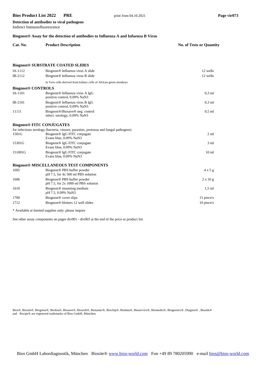Indirect Immunofluorescence

**Detection of antibodies to viral pathogens**

#### **Biognost® Assay for the detection of antibodies to Influenza A and Infuenza B Virus**

| Cat. No.                         | <b>Product Description</b>                                                               | <b>No. of Tests or Quantity</b> |
|----------------------------------|------------------------------------------------------------------------------------------|---------------------------------|
|                                  |                                                                                          |                                 |
|                                  | <b>Biognost® SUBSTRATE COATED SLIDES</b>                                                 |                                 |
| IA-1112                          | Biognost <sup>®</sup> Influenza virus A slide                                            | 12 wells                        |
| $IB-2112$                        | Biognost <sup>®</sup> Influenza virus B slide                                            | 12 wells                        |
|                                  | in Vero cells derived from kidney cells of African green monkeys                         |                                 |
| <b>Biognost® CONTROLS</b>        |                                                                                          |                                 |
| IA-1101                          | Biognost <sup>®</sup> Influenza virus A IgG<br>positive control, 0.09% NaN3              | $0.3$ ml                        |
| $IB-2101$                        | Biognost <sup>®</sup> Influenza virus B IgG<br>positive control, 0.09% NaN3              | $0.3$ ml                        |
| 1111I                            | Biognost <sup>®</sup> /Biosave <sup>®</sup> neg. control<br>infect. serology, 0.09% NaN3 | $0.5$ ml                        |
| <b>Biognost® FITC CONJUGATES</b> |                                                                                          |                                 |

| 1501G   | for infectious serology (bacteria, viruses, parasites, protozoa and fungal pathogens)<br>Biognost <sup>®</sup> IgG FITC conjugate<br>Evans blue, 0.09% NaN3 | $2 \text{ ml}$   |
|---------|-------------------------------------------------------------------------------------------------------------------------------------------------------------|------------------|
| 15301G  | Biognost <sup>®</sup> IgG FITC conjugate<br>Evans blue, 0.09% NaN3                                                                                          | $3 \text{ ml}$   |
| 151001G | Biognost <sup>®</sup> IgG FITC conjugate<br>Evans blue, 0.09% NaN3                                                                                          | 10 <sub>ml</sub> |
|         | <b>Biognost® MISCELLANEOUS TEST COMPONENTS</b>                                                                                                              |                  |
| 1605    | Biognost <sup>®</sup> PBS buffer powder<br>pH 7.5, for 4x 500 ml PBS solution                                                                               | $4 \times 5$ g   |
| 1606    | Biognost <sup>®</sup> PBS buffer powder<br>$pH$ 7.5, for 2x 1000 ml PBS solution                                                                            | $2 \times 10 g$  |
| 1610    | Biognost <sup>®</sup> mounting medium<br>pH 7.5, 0.09% NaN3                                                                                                 | $1.5$ ml         |
| 1700    | Biognost <sup>®</sup> cover slips                                                                                                                           | 15 piece/s       |
| 1712    | Biognost <sup>®</sup> blotters 12 well slides                                                                                                               | 10 piece/s       |

\* Available at limited supplies only; please inquire

See other assay components on pages div001 - div003 at the end of the price or product list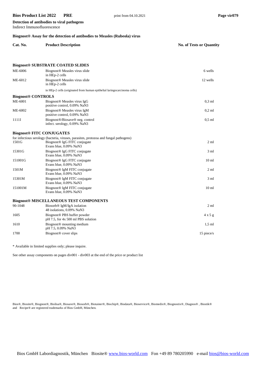Indirect Immunofluorescence

**Detection of antibodies to viral pathogens**

#### **Biognost® Assay for the detection of antibodies to Measles (Rubeola) virus**

| Cat. No. | <b>Product Description</b> | <b>No. of Tests or Quantity</b> |
|----------|----------------------------|---------------------------------|
|          |                            |                                 |

#### **Biognost® SUBSTRATE COATED SLIDES**

| ME-6006                   | Biognost <sup>®</sup> Measles virus slide<br>in HEp-2 cells                                                                                                 | 6 wells          |
|---------------------------|-------------------------------------------------------------------------------------------------------------------------------------------------------------|------------------|
| ME-6012                   | Biognost® Measles virus slide<br>in HEp-2 cells                                                                                                             | 12 wells         |
|                           | in HEp-2 cells (originated from human epithelial laringocarcinoma cells)                                                                                    |                  |
| <b>Biognost® CONTROLS</b> |                                                                                                                                                             |                  |
| ME-6001                   | Biognost <sup>®</sup> Measles virus IgG<br>positive control, 0.09% NaN3                                                                                     | $0,3$ ml         |
| ME-6002                   | Biognost <sup>®</sup> Measles virus IgM<br>positive control, 0.09% NaN3                                                                                     | $0,2$ ml         |
| 1111I                     | Biognost <sup>®</sup> /Biosave <sup>®</sup> neg. control<br>infect. serology, 0.09% NaN3                                                                    | $0.5$ ml         |
|                           | <b>Biognost® FITC CONJUGATES</b>                                                                                                                            |                  |
| 1501G                     | for infectious serology (bacteria, viruses, parasites, protozoa and fungal pathogens)<br>Biognost <sup>®</sup> IgG FITC conjugate<br>Evans blue, 0.09% NaN3 | $2 \text{ ml}$   |
| 15301G                    | Biognost <sup>®</sup> IgG FITC conjugate<br>Evans blue, 0.09% NaN3                                                                                          | $3 \text{ ml}$   |
| 151001G                   | Biognost <sup>®</sup> IgG FITC conjugate<br>Evans blue, 0.09% NaN3                                                                                          | 10 <sub>ml</sub> |
| 1501M                     | Biognost <sup>®</sup> IgM FITC conjugate<br>Evans blue, 0.09% NaN3                                                                                          | $2 \text{ ml}$   |
| 15301M                    | Biognost <sup>®</sup> IgM FITC conjugate<br>Evans blue, 0.09% NaN3                                                                                          | 3 <sub>ml</sub>  |
| 151001M                   | Biognost <sup>®</sup> IgM FITC conjugate<br>Evans blue, 0.09% NaN3                                                                                          | 10 <sub>ml</sub> |
|                           | <b>Biognost® MISCELLANEOUS TEST COMPONENTS</b>                                                                                                              |                  |
| 90-1048                   | Biosorb <sup>®</sup> IgM/IgA isolation<br>48 isolations, 0.09% NaN3                                                                                         | 2 <sub>m1</sub>  |
| 1605                      | Biognost® PBS buffer powder<br>pH 7.5, for 4x 500 ml PBS solution                                                                                           | 4x5g             |
| 1610                      | Biognost <sup>®</sup> mounting medium<br>pH 7.5, 0.09% NaN3                                                                                                 | $1,5$ ml         |
| 1700                      | Biognost <sup>®</sup> cover slips                                                                                                                           | 15 piece/s       |

\* Available in limited supplies only; please inquire.

See other assay components on pages div001 - div003 at the end of the price or product list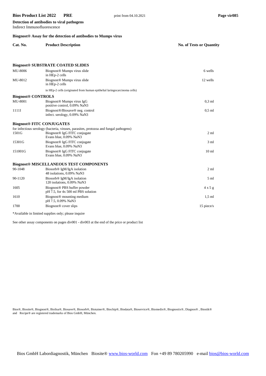Indirect Immunofluorescence

**Detection of antibodies to viral pathogens**

| Biognost <sup>®</sup> Assay for the detection of antibodies to Mumps virus |                                                                                                                                                             |                          |  |
|----------------------------------------------------------------------------|-------------------------------------------------------------------------------------------------------------------------------------------------------------|--------------------------|--|
| Cat. No.                                                                   | <b>Product Description</b>                                                                                                                                  | No. of Tests or Quantity |  |
|                                                                            |                                                                                                                                                             |                          |  |
|                                                                            | <b>Biognost® SUBSTRATE COATED SLIDES</b>                                                                                                                    |                          |  |
| MU-8006                                                                    | Biognost <sup>®</sup> Mumps virus slide<br>in HEp-2 cells                                                                                                   | 6 wells                  |  |
| MU-8012                                                                    | Biognost <sup>®</sup> Mumps virus slide<br>in HEp-2 cells                                                                                                   | 12 wells                 |  |
|                                                                            | in HEp-2 cells (originated from human epithelial laringocarcinoma cells)                                                                                    |                          |  |
| <b>Biognost® CONTROLS</b>                                                  |                                                                                                                                                             |                          |  |
| <b>MU-8001</b>                                                             | Biognost <sup>®</sup> Mumps virus IgG<br>positive control, 0.09% NaN3                                                                                       | $0.3$ ml                 |  |
| 1111I                                                                      | Biognost®/Biosave® neg. control<br>infect. serology, 0.09% NaN3                                                                                             | $0.5$ ml                 |  |
| <b>Biognost® FITC CONJUGATES</b>                                           |                                                                                                                                                             |                          |  |
| 1501G                                                                      | for infectious serology (bacteria, viruses, parasites, protozoa and fungal pathogens)<br>Biognost <sup>®</sup> IgG FITC conjugate<br>Evans blue, 0.09% NaN3 | $2 \text{ ml}$           |  |
| 15301G                                                                     | Biognost <sup>®</sup> IgG FITC conjugate<br>Evans blue, 0.09% NaN3                                                                                          | $3 \text{ ml}$           |  |
| 151001G                                                                    | Biognost <sup>®</sup> IgG FITC conjugate<br>Evans blue, 0.09% NaN3                                                                                          | 10 <sub>m1</sub>         |  |
|                                                                            | <b>Biognost® MISCELLANEOUS TEST COMPONENTS</b>                                                                                                              |                          |  |
| 90-1048                                                                    | Biosorb <sup>®</sup> IgM/IgA isolation<br>48 isolations, 0.09% NaN3                                                                                         | $2 \text{ ml}$           |  |
| 90-1120                                                                    | Biosorb <sup>®</sup> IgM/IgA isolation<br>120 isolations, 0.09% NaN3                                                                                        | $5 \text{ ml}$           |  |
| 1605                                                                       | Biognost <sup>®</sup> PBS buffer powder<br>pH 7.5, for 4x 500 ml PBS solution                                                                               | $4 \times 5$ g           |  |
| 1610                                                                       | Biognost <sup>®</sup> mounting medium<br>pH 7.5, 0.09% NaN3                                                                                                 | $1.5$ ml                 |  |
| 1700                                                                       | Biognost <sup>®</sup> cover slips                                                                                                                           | 15 piece/s               |  |

\*Available in limited supplies only; please inquire

See other assay components on pages div001 - div003 at the end of the price or product list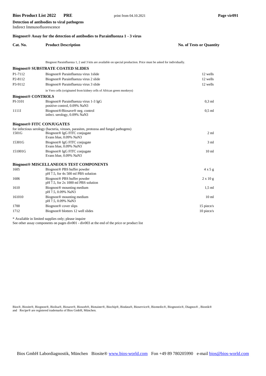Indirect Immunofluorescence

**Detection of antibodies to viral pathogens**

#### **Biognost® Assay for the detection of antibodies to Parainfluenza 1 - 3 virus**

| Cat. No.                         | <b>Product Description</b>                                                                                                                                  | No. of Tests or Quantity |
|----------------------------------|-------------------------------------------------------------------------------------------------------------------------------------------------------------|--------------------------|
|                                  | Biognost Parainfluenza 1, 2 and 3 kits are available on special production. Price must be asked for individually.                                           |                          |
|                                  | <b>Biognost® SUBSTRATE COATED SLIDES</b>                                                                                                                    |                          |
| P1-7112                          | Biognost <sup>®</sup> Parainfluenza virus 1slide                                                                                                            | 12 wells                 |
| P <sub>2</sub> -8112             | Biognost® Parainfluenza virus 2 slide                                                                                                                       | 12 wells                 |
| P3-9112                          | Biognost <sup>®</sup> Parainfluenza virus 3 slide                                                                                                           | 12 wells                 |
|                                  | in Vero cells (originated from kidney cells of African green monkeys)                                                                                       |                          |
| <b>Biognost® CONTROLS</b>        |                                                                                                                                                             |                          |
| PI-3101                          | Biognost <sup>®</sup> Parainfluenza virus 1-3 IgG<br>positive control, 0.09% NaN3                                                                           | $0.3$ ml                 |
| 1111I                            | Biognost®/Biosave® neg. control<br>infect. serology, 0.09% NaN3                                                                                             | $0.5$ ml                 |
| <b>Biognost® FITC CONJUGATES</b> |                                                                                                                                                             |                          |
| 1501G                            | for infectious serology (bacteria, viruses, parasites, protozoa and fungal pathogens)<br>Biognost <sup>®</sup> IgG FITC conjugate<br>Evans blue, 0.09% NaN3 | $2 \text{ ml}$           |
| 15301G                           | Biognost <sup>®</sup> IgG FITC conjugate<br>Evans blue, 0.09% NaN3                                                                                          | 3 <sub>ml</sub>          |
| 151001G                          | Biognost <sup>®</sup> IgG FITC conjugate<br>Evans blue, 0.09% NaN3                                                                                          | 10 <sub>ml</sub>         |
|                                  | <b>Biognost® MISCELLANEOUS TEST COMPONENTS</b>                                                                                                              |                          |
| 1605                             | Biognost® PBS buffer powder<br>pH 7.5, for 4x 500 ml PBS solution                                                                                           | $4 \times 5$ g           |
| 1606                             | Biognost <sup>®</sup> PBS buffer powder<br>$pH$ 7.5, for 2x 1000 ml PBS solution                                                                            | $2 \times 10 g$          |
| 1610                             | Biognost <sup>®</sup> mounting medium<br>pH 7.5, 0.09% NaN3                                                                                                 | $1.5$ ml                 |
| 161010                           | Biognost <sup>®</sup> mounting medium<br>pH 7.5, 0.09% NaN3                                                                                                 | 10 <sub>ml</sub>         |
| 1700                             | Biognost <sup>®</sup> cover slips                                                                                                                           | 15 piece/s               |
| 1712                             | Biognost <sup>®</sup> blotters 12 well slides                                                                                                               | $10$ piece/s             |

\* Available in limited supplies only; please inquire

See other assay components on pages div001 - div003 at the end of the price or product list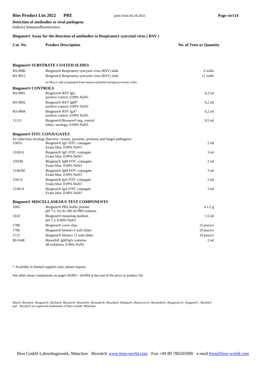Indirect Immunofluorescence

**Detection of antibodies to viral pathogens**

#### **Biognost® Assay for the detection of antibodies to Respiratory syncytial virus ( RSV )**

| Cat. No. | <b>Product Description</b> | <b>No. of Tests or Quantity</b> |
|----------|----------------------------|---------------------------------|
|          |                            |                                 |

#### **Biognost® SUBSTRATE COATED SLIDES**

| RS-9006                          | Biognost <sup>®</sup> Respiratory syncytial virus (RSV) slide                         | 6 wells         |
|----------------------------------|---------------------------------------------------------------------------------------|-----------------|
| RS-9012                          | Biognost <sup>®</sup> Respiratory syncytial virus (RSV) slide                         | 12 wells        |
|                                  | in HEp-2 cells (originated from human epithelial laringocarcinoma cells)              |                 |
| <b>Biognost® CONTROLS</b>        |                                                                                       |                 |
| RS-9001                          | Biognost <sup>®</sup> RSV IgG<br>positive control, 0.09% NaN3                         | $0,3$ ml        |
| RS-9002                          | Biognost <sup>®</sup> RSV IgM*<br>positive control, 0.09% NaN3                        | $0.2$ ml        |
| RS-9004                          | Biognost <sup>®</sup> RSV IgA*<br>positive control, 0.09% NaN3                        | $0,2$ ml        |
| 1111I                            | Biognost®/Biosave® neg. control<br>infect. serology, 0.09% NaN3                       | $0,5$ ml        |
| <b>Biognost® FITC CONJUGATES</b> |                                                                                       |                 |
|                                  | for infectious serology (bacteria, viruses, parasites, protozoa and fungal pathogens) |                 |
| 1501G                            | Biognost <sup>®</sup> IgG FITC conjugate<br>Evans blue, 0.09% NaN3                    | $2 \text{ ml}$  |
| 15301G                           | Biognost® IgG FITC conjugate<br>Evans blue, 0.09% NaN3                                | $3 \text{ ml}$  |
| 1501M                            | Biognost <sup>®</sup> IgM FITC conjugate<br>Evans blue, 0.09% NaN3                    | 2 ml            |
| 15301M                           | Biognost® IgM FITC conjugate<br>Evans blue, 0.09% NaN3                                | 3 ml            |
| 1501A                            | Biognost <sup>®</sup> IgA FITC conjugate<br>Evans blue, 0.09% NaN3                    | 2 <sub>m1</sub> |
| 15301A                           | Biognost <sup>®</sup> IgA FITC conjugate<br>Evans blue, 0.09% NaN3                    | 3 <sub>ml</sub> |
|                                  | <b>Biognost® MISCELLANEOUS TEST COMPONENTS</b>                                        |                 |
| 1605                             | Biognost <sup>®</sup> PBS buffer powder<br>pH 7.5, for 4x 500 ml PBS solution         | $4 \times 5$ g  |
| 1610                             | Biognost <sup>®</sup> mounting medium<br>pH 7.5, 0.09% NaN3                           | $1,5$ ml        |
| 1700                             | Biognost <sup>®</sup> cover slips                                                     | 15 piece/s      |
| 1706                             | Biognost <sup>®</sup> blotters 6 well slides                                          | 10 piece/s      |
| 1712                             | Biognost <sup>®</sup> blotters 12 well slides                                         | 10 piece/s      |
| 90-1048                          | Biosorb <sup>®</sup> IgM/IgA isolation<br>48 isolations, 0.09% NaN3                   | 2 <sub>m1</sub> |

\* Available in limited supplies only; please inquire.

See other assay components on pages div001 - div004 at the end of the price or product list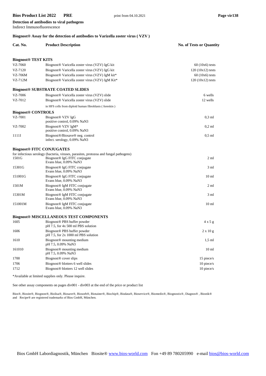Indirect Immunofluorescence

**Detection of antibodies to viral pathogens**

#### **Biognost® Assay for the detection of antibodies to Varizella zoster virus ( VZV )**

## **Cat. No. Product Description No. of Tests or Quantity**

| <b>Biognost® TEST KITS</b> |                                                                                          |                    |
|----------------------------|------------------------------------------------------------------------------------------|--------------------|
| VZ-7060                    | Biognost <sup>®</sup> Varicella zoster virus (VZV) IgG kit                               | $60(10x6)$ tests   |
| VZ-7120                    | Biognost <sup>®</sup> Varicella zoster virus (VZV) IgG kit                               | $120(10x12)$ tests |
| VZ-706M                    | Biognost <sup>®</sup> Varicella zoster virus (VZV) IgM kit <sup>*</sup>                  | $60(10x6)$ tests   |
| VZ-712M                    | Biognost <sup>®</sup> Varicella zoster virus (VZV) IgM Kit <sup>*</sup>                  | $120(10x12)$ tests |
|                            | <b>Biognost® SUBSTRATE COATED SLIDES</b>                                                 |                    |
| VZ-7006                    | Biognost <sup>®</sup> Varicella zoster virus (VZV) slide                                 | 6 wells            |
| VZ-7012                    | Biognost <sup>®</sup> Varicella zoster virus (VZV) slide                                 | 12 wells           |
|                            | in HFS cells from diploid human fibroblasts (foreskin)                                   |                    |
| <b>Biognost® CONTROLS</b>  |                                                                                          |                    |
| VZ-7001                    | Biognost <sup>®</sup> VZV IgG<br>positive control, 0.09% NaN3                            | $0.3$ ml           |
| VZ-7002                    | Biognost <sup>®</sup> VZV IgM*<br>positive control, 0.09% NaN3                           | $0.2$ ml           |
| 1111I                      | Biognost <sup>®</sup> /Biosave <sup>®</sup> neg. control<br>infect. serology, 0.09% NaN3 | $0.5$ ml           |
|                            | <b>Biognost® FITC CONJUGATES</b>                                                         |                    |
|                            | for infectious serology (bacteria, viruses, parasites, protozoa and fungal pathogens)    |                    |
| 1501G                      | Biognost® IgG FITC conjugate<br>Evans blue, 0.09% NaN3                                   | $2 \text{ ml}$     |
| 15301G                     | Biognost <sup>®</sup> IgG FITC conjugate<br>Evans blue, 0.09% NaN3                       | $3 \text{ ml}$     |
| 151001G                    | Biognost <sup>®</sup> IgG FITC conjugate<br>Evans blue, 0.09% NaN3                       | 10 <sub>ml</sub>   |
| 1501M                      | Biognost <sup>®</sup> IgM FITC conjugate<br>Evans blue, 0.09% NaN3                       | 2 ml               |
| 15301M                     | Biognost <sup>®</sup> IgM FITC conjugate<br>Evans blue, 0.09% NaN3                       | 3 <sub>ml</sub>    |
| 151001M                    | Biognost <sup>®</sup> IgM FITC conjugate<br>Evans blue, 0.09% NaN3                       | 10 <sub>ml</sub>   |
|                            | <b>Biognost® MISCELLANEOUS TEST COMPONENTS</b>                                           |                    |
| 1605                       | Biognost <sup>®</sup> PBS buffer powder<br>pH 7.5, for 4x 500 ml PBS solution            | $4 \times 5$ g     |
| 1606                       | Biognost <sup>®</sup> PBS buffer powder<br>$pH$ 7.5, for 2x 1000 ml PBS solution         | $2 \times 10$ g    |
| 1610                       | Biognost <sup>®</sup> mounting medium<br>pH 7.5, 0.09% NaN3                              | $1,5$ ml           |
| 161010                     | Biognost <sup>®</sup> mounting medium<br>pH 7.5, 0.09% NaN3                              | 10 <sub>ml</sub>   |
| 1700                       | Biognost <sup>®</sup> cover slips                                                        | 15 piece/s         |
| 1706                       | Biognost <sup>®</sup> blotters 6 well slides                                             | 10 piece/s         |
| 1712                       | Biognost <sup>®</sup> blotters 12 well slides                                            | 10 piece/s         |

\*Available at limited supplies only. Please inquire.

See other assay components on pages div001 - div003 at the end of the price or product list